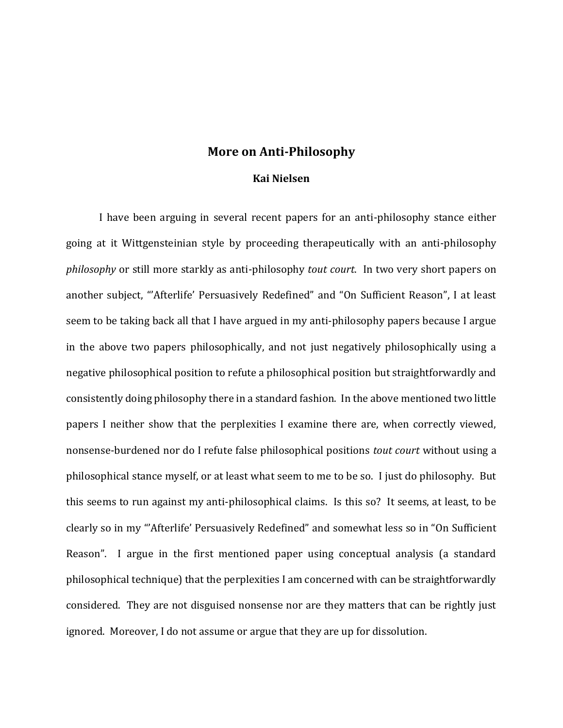## **More on Anti-Philosophy**

## **Kai Nielsen**

I have been arguing in several recent papers for an anti-philosophy stance either going at it Wittgensteinian style by proceeding therapeutically with an anti-philosophy *philosophy* or still more starkly as anti-philosophy *tout court*. In two very short papers on another subject, "'Afterlife' Persuasively Redefined" and "On Sufficient Reason", I at least seem to be taking back all that I have argued in my anti-philosophy papers because I argue in the above two papers philosophically, and not just negatively philosophically using a negative philosophical position to refute a philosophical position but straightforwardly and consistently doing philosophy there in a standard fashion. In the above mentioned two little papers I neither show that the perplexities I examine there are, when correctly viewed, nonsense-burdened nor do I refute false philosophical positions *tout court* without using a philosophical stance myself, or at least what seem to me to be so. I just do philosophy. But this seems to run against my anti-philosophical claims. Is this so? It seems, at least, to be clearly so in my "'Afterlife' Persuasively Redefined" and somewhat less so in "On Sufficient Reason". I argue in the first mentioned paper using conceptual analysis (a standard philosophical technique) that the perplexities I am concerned with can be straightforwardly considered. They are not disguised nonsense nor are they matters that can be rightly just ignored. Moreover, I do not assume or argue that they are up for dissolution.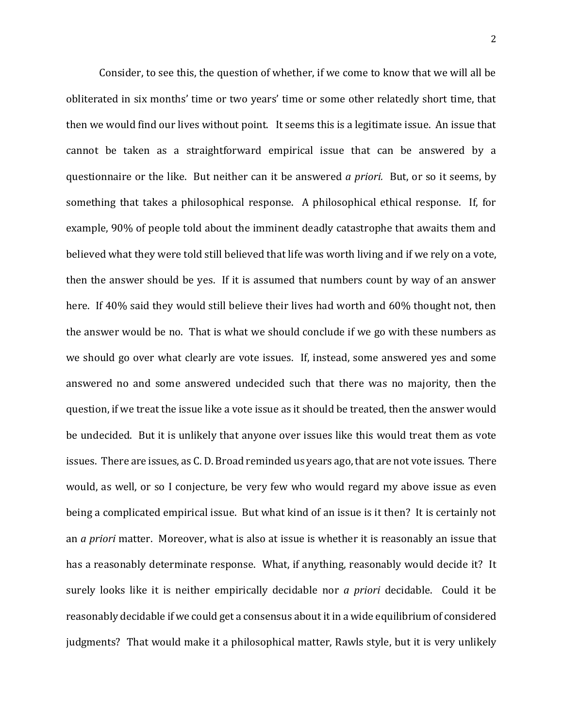Consider, to see this, the question of whether, if we come to know that we will all be obliterated in six months' time or two years' time or some other relatedly short time, that then we would find our lives without point. It seems this is a legitimate issue. An issue that cannot be taken as a straightforward empirical issue that can be answered by a questionnaire or the like. But neither can it be answered *a priori.* But, or so it seems, by something that takes a philosophical response. A philosophical ethical response. If, for example, 90% of people told about the imminent deadly catastrophe that awaits them and believed what they were told still believed that life was worth living and if we rely on a vote, then the answer should be yes. If it is assumed that numbers count by way of an answer here. If 40% said they would still believe their lives had worth and 60% thought not, then the answer would be no. That is what we should conclude if we go with these numbers as we should go over what clearly are vote issues. If, instead, some answered yes and some answered no and some answered undecided such that there was no majority, then the question, if we treat the issue like a vote issue as it should be treated, then the answer would be undecided. But it is unlikely that anyone over issues like this would treat them as vote issues. There are issues, as C. D. Broad reminded us years ago, that are not vote issues. There would, as well, or so I conjecture, be very few who would regard my above issue as even being a complicated empirical issue. But what kind of an issue is it then? It is certainly not an *a priori* matter. Moreover, what is also at issue is whether it is reasonably an issue that has a reasonably determinate response. What, if anything, reasonably would decide it? It surely looks like it is neither empirically decidable nor *a priori* decidable. Could it be reasonably decidable if we could get a consensus about it in a wide equilibrium of considered judgments? That would make it a philosophical matter, Rawls style, but it is very unlikely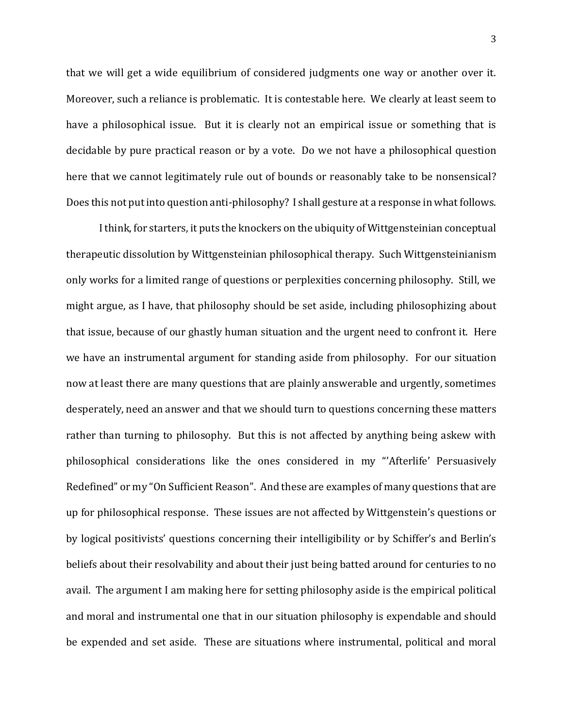that we will get a wide equilibrium of considered judgments one way or another over it. Moreover, such a reliance is problematic. It is contestable here. We clearly at least seem to have a philosophical issue. But it is clearly not an empirical issue or something that is decidable by pure practical reason or by a vote. Do we not have a philosophical question here that we cannot legitimately rule out of bounds or reasonably take to be nonsensical? Does this not put into question anti-philosophy? I shall gesture at a response in what follows.

I think, for starters, it puts the knockers on the ubiquity of Wittgensteinian conceptual therapeutic dissolution by Wittgensteinian philosophical therapy. Such Wittgensteinianism only works for a limited range of questions or perplexities concerning philosophy. Still, we might argue, as I have, that philosophy should be set aside, including philosophizing about that issue, because of our ghastly human situation and the urgent need to confront it. Here we have an instrumental argument for standing aside from philosophy. For our situation now at least there are many questions that are plainly answerable and urgently, sometimes desperately, need an answer and that we should turn to questions concerning these matters rather than turning to philosophy. But this is not affected by anything being askew with philosophical considerations like the ones considered in my "'Afterlife' Persuasively Redefined" or my "On Sufficient Reason". And these are examples of many questions that are up for philosophical response. These issues are not affected by Wittgenstein's questions or by logical positivists' questions concerning their intelligibility or by Schiffer's and Berlin's beliefs about their resolvability and about their just being batted around for centuries to no avail. The argument I am making here for setting philosophy aside is the empirical political and moral and instrumental one that in our situation philosophy is expendable and should be expended and set aside. These are situations where instrumental, political and moral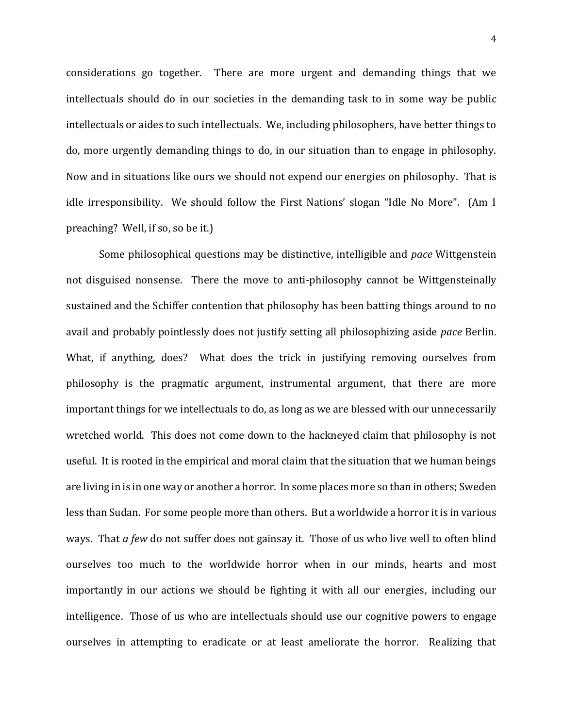considerations go together. There are more urgent and demanding things that we intellectuals should do in our societies in the demanding task to in some way be public intellectuals or aides to such intellectuals. We, including philosophers, have better things to do, more urgently demanding things to do, in our situation than to engage in philosophy. Now and in situations like ours we should not expend our energies on philosophy. That is idle irresponsibility. We should follow the First Nations' slogan "Idle No More". (Am I preaching? Well, if so, so be it.)

Some philosophical questions may be distinctive, intelligible and *pace* Wittgenstein not disguised nonsense. There the move to anti-philosophy cannot be Wittgensteinally sustained and the Schiffer contention that philosophy has been batting things around to no avail and probably pointlessly does not justify setting all philosophizing aside *pace* Berlin. What, if anything, does? What does the trick in justifying removing ourselves from philosophy is the pragmatic argument, instrumental argument, that there are more important things for we intellectuals to do, as long as we are blessed with our unnecessarily wretched world. This does not come down to the hackneyed claim that philosophy is not useful. It is rooted in the empirical and moral claim that the situation that we human beings are living in is in one way or another a horror. In some places more so than in others; Sweden less than Sudan. For some people more than others. But a worldwide a horror it is in various ways. That *a few* do not suffer does not gainsay it. Those of us who live well to often blind ourselves too much to the worldwide horror when in our minds, hearts and most importantly in our actions we should be fighting it with all our energies, including our intelligence. Those of us who are intellectuals should use our cognitive powers to engage ourselves in attempting to eradicate or at least ameliorate the horror. Realizing that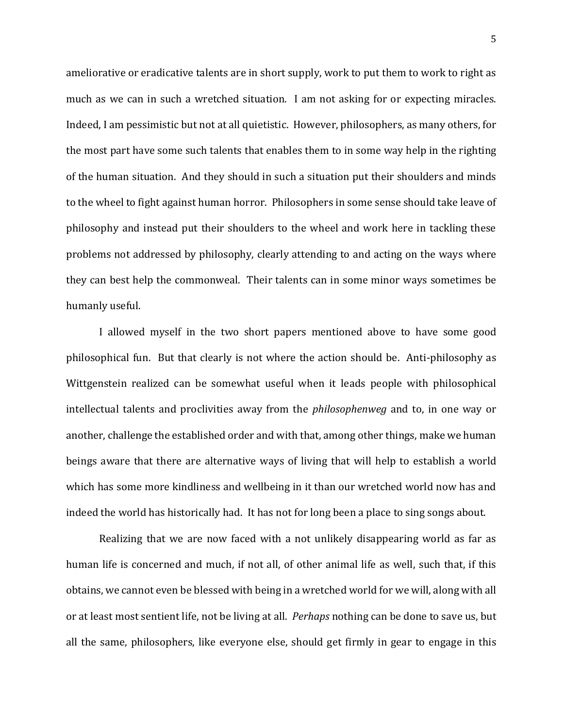ameliorative or eradicative talents are in short supply, work to put them to work to right as much as we can in such a wretched situation. I am not asking for or expecting miracles. Indeed, I am pessimistic but not at all quietistic. However, philosophers, as many others, for the most part have some such talents that enables them to in some way help in the righting of the human situation. And they should in such a situation put their shoulders and minds to the wheel to fight against human horror. Philosophers in some sense should take leave of philosophy and instead put their shoulders to the wheel and work here in tackling these problems not addressed by philosophy, clearly attending to and acting on the ways where they can best help the commonweal. Their talents can in some minor ways sometimes be humanly useful.

I allowed myself in the two short papers mentioned above to have some good philosophical fun. But that clearly is not where the action should be. Anti-philosophy as Wittgenstein realized can be somewhat useful when it leads people with philosophical intellectual talents and proclivities away from the *philosophenweg* and to, in one way or another, challenge the established order and with that, among other things, make we human beings aware that there are alternative ways of living that will help to establish a world which has some more kindliness and wellbeing in it than our wretched world now has and indeed the world has historically had. It has not for long been a place to sing songs about.

Realizing that we are now faced with a not unlikely disappearing world as far as human life is concerned and much, if not all, of other animal life as well, such that, if this obtains, we cannot even be blessed with being in a wretched world for we will, along with all or at least most sentient life, not be living at all. *Perhaps* nothing can be done to save us, but all the same, philosophers, like everyone else, should get firmly in gear to engage in this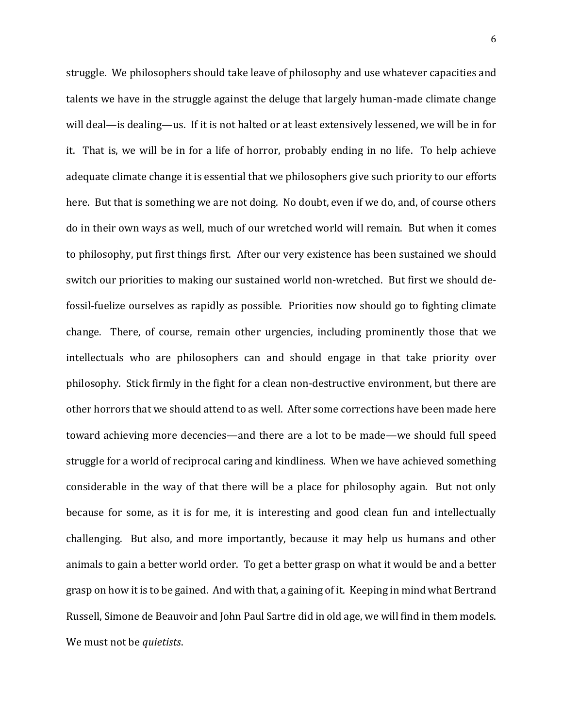struggle. We philosophers should take leave of philosophy and use whatever capacities and talents we have in the struggle against the deluge that largely human-made climate change will deal—is dealing—us. If it is not halted or at least extensively lessened, we will be in for it. That is, we will be in for a life of horror, probably ending in no life. To help achieve adequate climate change it is essential that we philosophers give such priority to our efforts here. But that is something we are not doing. No doubt, even if we do, and, of course others do in their own ways as well, much of our wretched world will remain. But when it comes to philosophy, put first things first. After our very existence has been sustained we should switch our priorities to making our sustained world non-wretched. But first we should defossil-fuelize ourselves as rapidly as possible. Priorities now should go to fighting climate change. There, of course, remain other urgencies, including prominently those that we intellectuals who are philosophers can and should engage in that take priority over philosophy. Stick firmly in the fight for a clean non-destructive environment, but there are other horrors that we should attend to as well. After some corrections have been made here toward achieving more decencies—and there are a lot to be made—we should full speed struggle for a world of reciprocal caring and kindliness. When we have achieved something considerable in the way of that there will be a place for philosophy again. But not only because for some, as it is for me, it is interesting and good clean fun and intellectually challenging. But also, and more importantly, because it may help us humans and other animals to gain a better world order. To get a better grasp on what it would be and a better grasp on how it is to be gained. And with that, a gaining of it. Keeping in mind what Bertrand Russell, Simone de Beauvoir and John Paul Sartre did in old age, we will find in them models. We must not be *quietists*.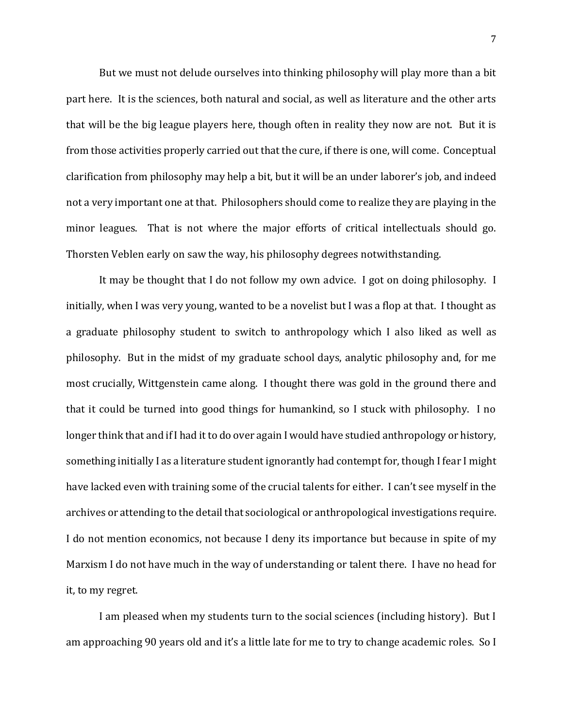But we must not delude ourselves into thinking philosophy will play more than a bit part here. It is the sciences, both natural and social, as well as literature and the other arts that will be the big league players here, though often in reality they now are not. But it is from those activities properly carried out that the cure, if there is one, will come. Conceptual clarification from philosophy may help a bit, but it will be an under laborer's job, and indeed not a very important one at that. Philosophers should come to realize they are playing in the minor leagues. That is not where the major efforts of critical intellectuals should go. Thorsten Veblen early on saw the way, his philosophy degrees notwithstanding.

It may be thought that I do not follow my own advice. I got on doing philosophy. I initially, when I was very young, wanted to be a novelist but I was a flop at that. I thought as a graduate philosophy student to switch to anthropology which I also liked as well as philosophy. But in the midst of my graduate school days, analytic philosophy and, for me most crucially, Wittgenstein came along. I thought there was gold in the ground there and that it could be turned into good things for humankind, so I stuck with philosophy. I no longer think that and if I had it to do over again I would have studied anthropology or history, something initially I as a literature student ignorantly had contempt for, though I fear I might have lacked even with training some of the crucial talents for either. I can't see myself in the archives or attending to the detail that sociological or anthropological investigations require. I do not mention economics, not because I deny its importance but because in spite of my Marxism I do not have much in the way of understanding or talent there. I have no head for it, to my regret.

I am pleased when my students turn to the social sciences (including history). But I am approaching 90 years old and it's a little late for me to try to change academic roles. So I